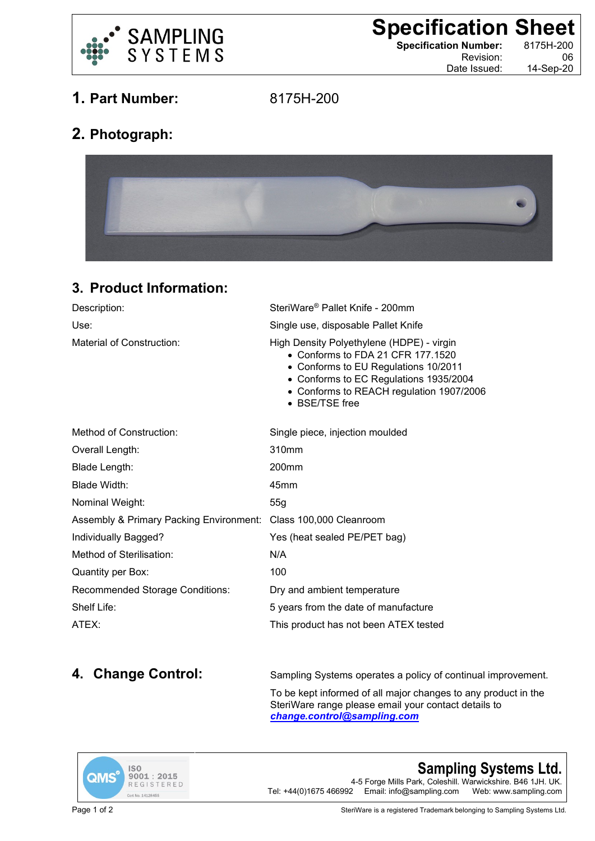

**Specification Sheet**<br>
Specification Number: 8175H-200

**Specification Number:** 

Revision: 06 Date Issued: 14-Sep-20

**1. Part Number:** 8175H-200

## **2. Photograph:**



## **3. Product Information:**

| Description:                                                    | SteriWare® Pallet Knife - 200mm                                                                                                                                                                                                |
|-----------------------------------------------------------------|--------------------------------------------------------------------------------------------------------------------------------------------------------------------------------------------------------------------------------|
| Use:                                                            | Single use, disposable Pallet Knife                                                                                                                                                                                            |
| Material of Construction:                                       | High Density Polyethylene (HDPE) - virgin<br>• Conforms to FDA 21 CFR 177.1520<br>• Conforms to EU Regulations 10/2011<br>• Conforms to EC Regulations 1935/2004<br>• Conforms to REACH regulation 1907/2006<br>• BSE/TSE free |
| Method of Construction:                                         | Single piece, injection moulded                                                                                                                                                                                                |
| Overall Length:                                                 | 310mm                                                                                                                                                                                                                          |
| Blade Length:                                                   | 200 <sub>mm</sub>                                                                                                                                                                                                              |
| Blade Width:                                                    | 45mm                                                                                                                                                                                                                           |
| Nominal Weight:                                                 | 55g                                                                                                                                                                                                                            |
| Assembly & Primary Packing Environment: Class 100,000 Cleanroom |                                                                                                                                                                                                                                |
| Individually Bagged?                                            | Yes (heat sealed PE/PET bag)                                                                                                                                                                                                   |
| Method of Sterilisation:                                        | N/A                                                                                                                                                                                                                            |
| Quantity per Box:                                               | 100                                                                                                                                                                                                                            |
| Recommended Storage Conditions:                                 | Dry and ambient temperature                                                                                                                                                                                                    |
| Shelf Life:                                                     | 5 years from the date of manufacture                                                                                                                                                                                           |
| ATEX:                                                           | This product has not been ATEX tested                                                                                                                                                                                          |

**4. Change Control:** Sampling Systems operates a policy of continual improvement.

To be kept informed of all major changes to any product in the SteriWare range please email your contact details to *[change.control@sampling.com](mailto:change.control@sampling.com)*



**Sampling Systems Ltd.** 4-5 Forge Mills Park, Coleshill. Warwickshire. B46 1JH. UK.<br>Tel: +44(0)1675 466992 Email: info@sampling.com Web: www.sampling.com Email: info@sampling.com